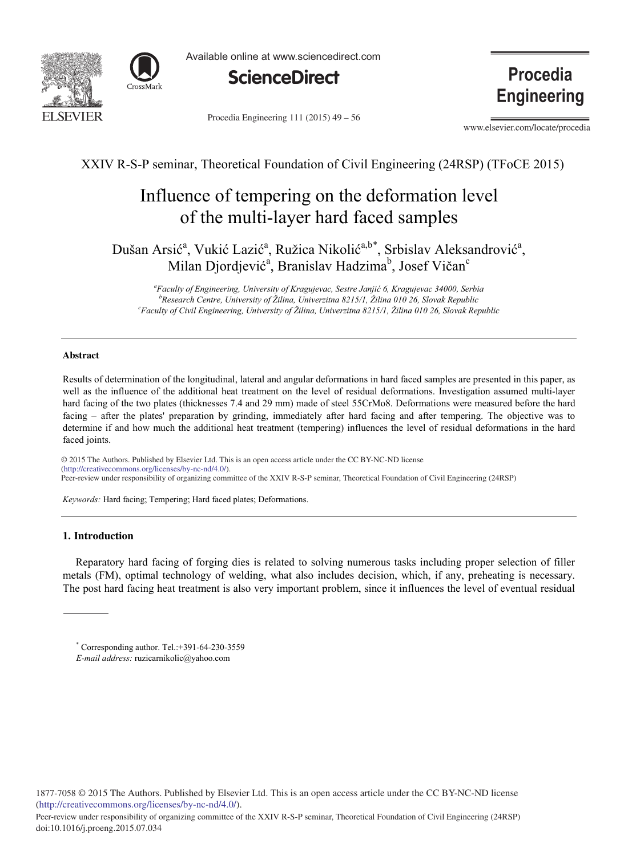



Available online at www.sciencedirect.com



**Procedia Engineering** 

Procedia Engineering 111 (2015)  $49 - 56$ 

www.elsevier.com/locate/procedia

XXIV R-S-P seminar, Theoretical Foundation of Civil Engineering (24RSP) (TFoCE 2015)

# Influence of tempering on the deformation level of the multi-layer hard faced samples

Dušan Arsić<sup>a</sup>, Vukić Lazić<sup>a</sup>, Ružica Nikolić<sup>a,b\*</sup>, Srbislav Aleksandrović<sup>a</sup>, Milan Djordjević<sup>a</sup>, Branislav Hadzima<sup>b</sup>, Josef Vičan<sup>c</sup>

<sup>a</sup>Faculty of Engineering, University of Kragujevac, Sestre Janjić 6, Kragujevac 34000, Serbia <sup>b</sup> Research Centre, University of Žilina, Univerzitna 8215/1, Žilina 010 26, Slovak Republic<br><sup>c</sup> Ecoulty of Civil Engineering, University of Žilina, University of 8215/1, Žilina 010 26, Slovak Box *Faculty of Civil Engineering, University of Žilina, Univerzitna 8215/1, Žilina 010 26, Slovak Republic*

## **Abstract**

Results of determination of the longitudinal, lateral and angular deformations in hard faced samples are presented in this paper, as well as the influence of the additional heat treatment on the level of residual deformations. Investigation assumed multi-layer hard facing of the two plates (thicknesses 7.4 and 29 mm) made of steel 55CrMo8. Deformations were measured before the hard facing – after the plates' preparation by grinding, immediately after hard facing and after tempering. The objective was to determine if and how much the additional heat treatment (tempering) influences the level of residual deformations in the hard faced joints.

© 2015 The Authors. Published by Elsevier B.V. © 2015 The Authors. Published by Elsevier Ltd. This is an open access article under the CC BY-NC-ND license<br>Output longetive commence and license ally no nel 400. Engineering (24RSP) Peer-review under responsibility of organizing committee of the XXIV R-S-P seminar, Theoretical Foundation of Civil Engineering (24RSP)(http://creativecommons.org/licenses/by-nc-nd/4.0/).

*Keywords:* Hard facing; Tempering; Hard faced plates; Deformations.

## **1. Introduction**

Reparatory hard facing of forging dies is related to solving numerous tasks including proper selection of filler metals (FM), optimal technology of welding, what also includes decision, which, if any, preheating is necessary. The post hard facing heat treatment is also very important problem, since it influences the level of eventual residual

<sup>\*</sup> Corresponding author. Tel.:+391-64-230-3559

*E-mail address:* ruzicarnikolic@yahoo.com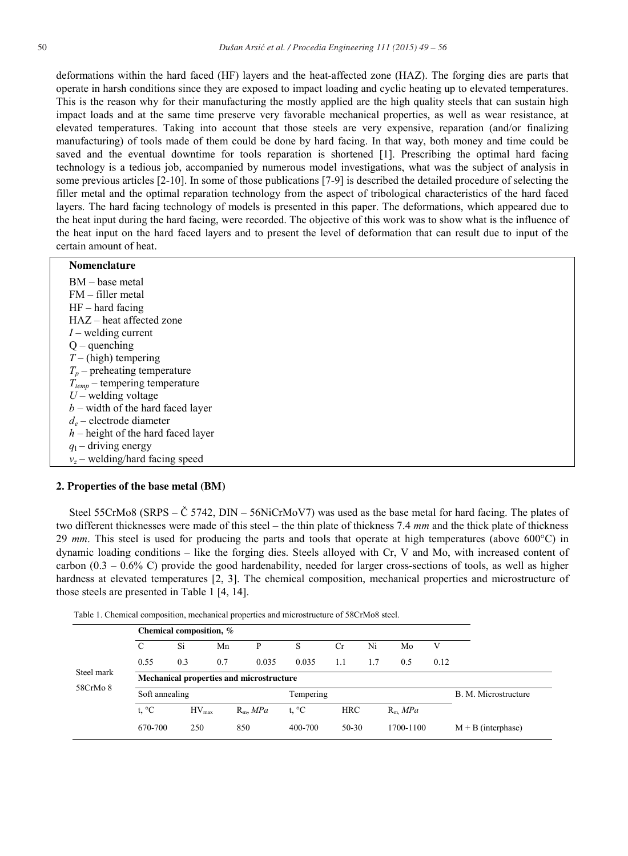deformations within the hard faced (HF) layers and the heat-affected zone (HAZ). The forging dies are parts that operate in harsh conditions since they are exposed to impact loading and cyclic heating up to elevated temperatures. This is the reason why for their manufacturing the mostly applied are the high quality steels that can sustain high impact loads and at the same time preserve very favorable mechanical properties, as well as wear resistance, at elevated temperatures. Taking into account that those steels are very expensive, reparation (and/or finalizing manufacturing) of tools made of them could be done by hard facing. In that way, both money and time could be saved and the eventual downtime for tools reparation is shortened [1]. Prescribing the optimal hard facing technology is a tedious job, accompanied by numerous model investigations, what was the subject of analysis in some previous articles [2-10]. In some of those publications [7-9] is described the detailed procedure of selecting the filler metal and the optimal reparation technology from the aspect of tribological characteristics of the hard faced layers. The hard facing technology of models is presented in this paper. The deformations, which appeared due to the heat input during the hard facing, were recorded. The objective of this work was to show what is the influence of the heat input on the hard faced layers and to present the level of deformation that can result due to input of the certain amount of heat.

### **Nomenclature**

| BM – base metal                      |
|--------------------------------------|
| $FM - filter metal$                  |
| $HF - hard facing$                   |
| HAZ – heat affected zone             |
| $I$ – welding current                |
| $Q$ – quenching                      |
| $T - (high)$ tempering               |
| $T_p$ – preheating temperature       |
| $T_{temp}$ – tempering temperature   |
| $U$ – welding voltage                |
| $b$ – width of the hard faced layer  |
| $d_e$ – electrode diameter           |
| $h$ – height of the hard faced layer |
| $q_1$ – driving energy               |
| $v_z$ – welding/hard facing speed    |

## **2. Properties of the base metal (BM)**

Steel 55CrMo8 (SRPS –  $\check{C}$  5742, DIN – 56NiCrMoV7) was used as the base metal for hard facing. The plates of two different thicknesses were made of this steel – the thin plate of thickness 7.4 *mm* and the thick plate of thickness 29 *mm*. This steel is used for producing the parts and tools that operate at high temperatures (above 600°C) in dynamic loading conditions – like the forging dies. Steels alloyed with Cr, V and Mo, with increased content of carbon (0.3 – 0.6% C) provide the good hardenability, needed for larger cross-sections of tools, as well as higher hardness at elevated temperatures [2, 3]. The chemical composition, mechanical properties and microstructure of those steels are presented in Table 1 [4, 14].

| Steel mark<br>58CrMo 8 | Chemical composition, %                  |                |     |             |                |            |     |           |      |                      |  |
|------------------------|------------------------------------------|----------------|-----|-------------|----------------|------------|-----|-----------|------|----------------------|--|
|                        | C                                        | Si             | Mn  | P           | S              | <b>Cr</b>  | Ni  | Mo        | V    |                      |  |
|                        | 0.55                                     | 0.3            | 0.7 | 0.035       | 0.035          | 1.1        | 1.7 | 0.5       | 0.12 |                      |  |
|                        | Mechanical properties and microstructure |                |     |             |                |            |     |           |      |                      |  |
|                        |                                          | Soft annealing |     |             | Tempering      |            |     |           |      | B. M. Microstructure |  |
|                        | t, $^{\circ}C$                           | $HV_{max}$     |     | $R_m$ , MPa | t, $^{\circ}C$ | <b>HRC</b> |     | $R_m$ MPa |      |                      |  |
|                        | 670-700                                  | 250            | 850 |             | 400-700        | 50-30      |     | 1700-1100 |      | $M + B$ (interphase) |  |

Table 1. Chemical composition, mechanical properties and microstructure of 58CrMo8 steel.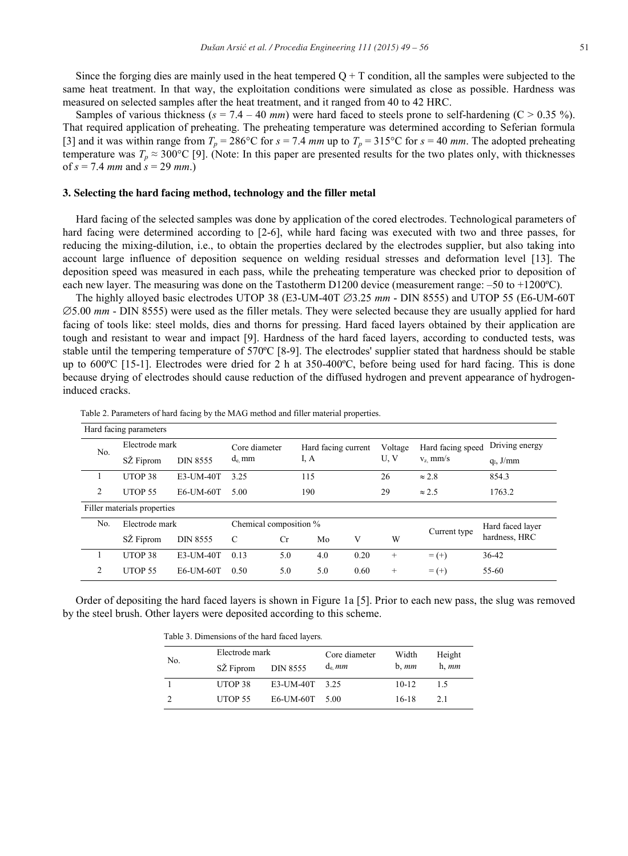Since the forging dies are mainly used in the heat tempered  $Q + T$  condition, all the samples were subjected to the same heat treatment. In that way, the exploitation conditions were simulated as close as possible. Hardness was measured on selected samples after the heat treatment, and it ranged from 40 to 42 HRC.

Samples of various thickness ( $s = 7.4 - 40$  *mm*) were hard faced to steels prone to self-hardening ( $C > 0.35$ %). That required application of preheating. The preheating temperature was determined according to Seferian formula [3] and it was within range from  $T_p = 286^{\circ}\text{C}$  for  $s = 7.4$  *mm* up to  $T_p = 315^{\circ}\text{C}$  for  $s = 40$  *mm*. The adopted preheating temperature was  $T_p \approx 300^{\circ}\text{C}$  [9]. (Note: In this paper are presented results for the two plates only, with thicknesses of  $s = 7.4$  *mm* and  $s = 29$  *mm*.)

#### **3. Selecting the hard facing method, technology and the filler metal**

Hard facing of the selected samples was done by application of the cored electrodes. Technological parameters of hard facing were determined according to [2-6], while hard facing was executed with two and three passes, for reducing the mixing-dilution, i.e., to obtain the properties declared by the electrodes supplier, but also taking into account large influence of deposition sequence on welding residual stresses and deformation level [13]. The deposition speed was measured in each pass, while the preheating temperature was checked prior to deposition of each new layer. The measuring was done on the Tastotherm D1200 device (measurement range: –50 to +1200ºC).

The highly alloyed basic electrodes UTOP 38 (E3-UM-40T  $\emptyset$ 3.25 *mm* - DIN 8555) and UTOP 55 (E6-UM-60T 5.00 *mm* - DIN 8555) were used as the filler metals. They were selected because they are usually applied for hard facing of tools like: steel molds, dies and thorns for pressing. Hard faced layers obtained by their application are tough and resistant to wear and impact [9]. Hardness of the hard faced layers, according to conducted tests, was stable until the tempering temperature of 570ºC [8-9]. The electrodes' supplier stated that hardness should be stable up to 600ºC [15-1]. Electrodes were dried for 2 h at 350-400ºC, before being used for hard facing. This is done because drying of electrodes should cause reduction of the diffused hydrogen and prevent appearance of hydrogeninduced cracks.

| Hard facing parameters      |                              |                 |                           |     |                             |              |                  |                   |                |  |
|-----------------------------|------------------------------|-----------------|---------------------------|-----|-----------------------------|--------------|------------------|-------------------|----------------|--|
| No.                         | Electrode mark               |                 | Core diameter<br>$d_e$ mm |     | Hard facing current<br>I, A |              | Voltage          | Hard facing speed | Driving energy |  |
|                             | SŽ Fiprom<br><b>DIN 8555</b> |                 |                           |     |                             |              | U, V             | $v_z$ mm/s        | $q_1$ , J/mm   |  |
|                             | UTOP <sub>38</sub>           | E3-UM-40T       | 3.25                      |     | 115                         |              | 26               | $\approx 2.8$     | 854.3          |  |
| 2                           | UTOP <sub>55</sub>           | E6-UM-60T       | 5.00                      |     |                             | 190          |                  | $\approx$ 2.5     | 1763.2         |  |
| Filler materials properties |                              |                 |                           |     |                             |              |                  |                   |                |  |
| No.                         | Electrode mark               |                 | Chemical composition %    |     |                             | Current type | Hard faced layer |                   |                |  |
|                             | SZ Fiprom                    | <b>DIN 8555</b> | C                         | Cr  | Mo                          | V            | W                |                   | hardness, HRC  |  |
|                             | UTOP <sub>38</sub>           | E3-UM-40T       | 0.13                      | 5.0 | 4.0                         | 0.20         | $^{+}$           | $= (+)$           | 36-42          |  |
| 2                           | UTOP <sub>55</sub>           | E6-UM-60T       | 0.50                      | 5.0 | 5.0                         | 0.60         | $^{+}$           | $= (+)$           | 55-60          |  |

Table 2. Parameters of hard facing by the MAG method and filler material properties.

Order of depositing the hard faced layers is shown in Figure 1a [5]. Prior to each new pass, the slug was removed by the steel brush. Other layers were deposited according to this scheme.

Table 3. Dimensions of the hard faced layers*.*

|     | Electrode mark |                | Core diameter | Width     | Height     |
|-----|----------------|----------------|---------------|-----------|------------|
| No. | SZ Fiprom      | DIN 8555       | $d_e$ mm      | $b.$ $mm$ | $h, \, mm$ |
|     | UTOP 38        | E3-UM-40T 3.25 |               | $10-12$   | 15         |
|     | UTOP 55        | E6-UM-60T 5.00 |               | 16-18     | 2.1        |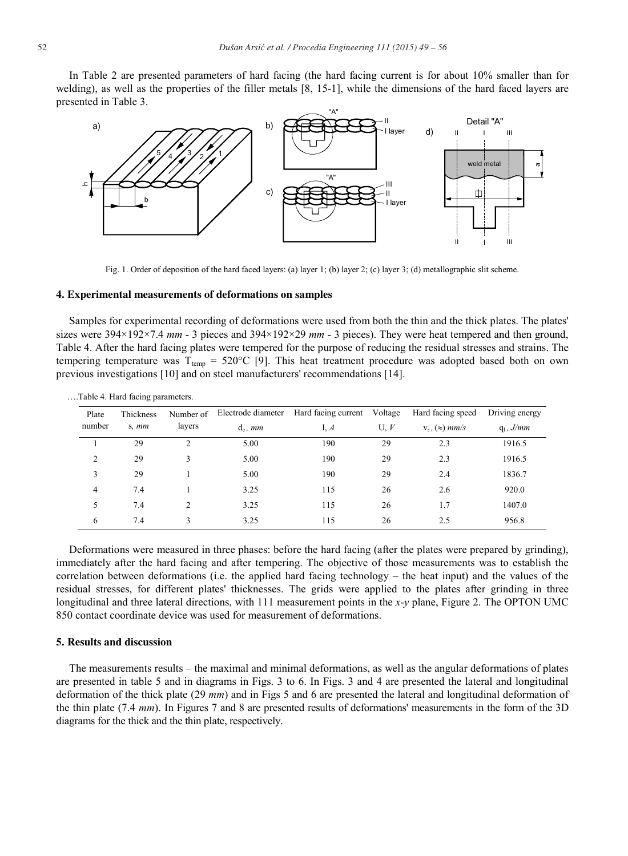In Table 2 are presented parameters of hard facing (the hard facing current is for about 10% smaller than for welding), as well as the properties of the filler metals [8, 15-1], while the dimensions of the hard faced layers are presented in Table 3.



Fig. 1. Order of deposition of the hard faced layers: (a) layer 1; (b) layer 2; (c) layer 3; (d) metallographic slit scheme.

#### **4. Experimental measurements of deformations on samples**

Samples for experimental recording of deformations were used from both the thin and the thick plates. The plates' sizes were 394×192×7.4 *mm* - 3 pieces and 394×192×29 *mm* - 3 pieces). They were heat tempered and then ground, Table 4. After the hard facing plates were tempered for the purpose of reducing the residual stresses and strains. The tempering temperature was  $T_{temp} = 520^{\circ}C$  [9]. This heat treatment procedure was adopted based both on own previous investigations [10] and on steel manufacturers' recommendations [14].

| Plate           | Thickness | Number of | Electrode diameter | Hard facing current | Voltage | Hard facing speed        | Driving energy |  |
|-----------------|-----------|-----------|--------------------|---------------------|---------|--------------------------|----------------|--|
| number<br>s. mm |           | layers    | $d_e$ , mm         | I, $A$              | U, V    | $V_z$ , $(\approx)$ mm/s | $q_1$ , J/mm   |  |
|                 | 29        |           | 5.00               | 190                 | 29      | 2.3                      | 1916.5         |  |
| 2               | 29        | 3         | 5.00               | 190                 | 29      | 2.3                      | 1916.5         |  |
| 3               | 29        |           | 5.00               | 190                 | 29      | 2.4                      | 1836.7         |  |
| 4               | 7.4       |           | 3.25               | 115                 | 26      | 2.6                      | 920.0          |  |
| 5               | 7.4       | 2         | 3.25               | 115                 | 26      | 1.7                      | 1407.0         |  |
| 6               | 7.4       | 3         | 3.25               | 115                 | 26      | 2.5                      | 956.8          |  |

….Table 4. Hard facing parameters.

Deformations were measured in three phases: before the hard facing (after the plates were prepared by grinding), immediately after the hard facing and after tempering. The objective of those measurements was to establish the correlation between deformations (i.e. the applied hard facing technology – the heat input) and the values of the residual stresses, for different plates' thicknesses. The grids were applied to the plates after grinding in three longitudinal and three lateral directions, with 111 measurement points in the *x*-*y* plane, Figure 2. The OPTON UMC 850 contact coordinate device was used for measurement of deformations.

#### **5. Results and discussion**

The measurements results – the maximal and minimal deformations, as well as the angular deformations of plates are presented in table 5 and in diagrams in Figs. 3 to 6. In Figs. 3 and 4 are presented the lateral and longitudinal deformation of the thick plate (29 *mm*) and in Figs 5 and 6 are presented the lateral and longitudinal deformation of the thin plate (7.4 *mm*). In Figures 7 and 8 are presented results of deformations' measurements in the form of the 3D diagrams for the thick and the thin plate, respectively.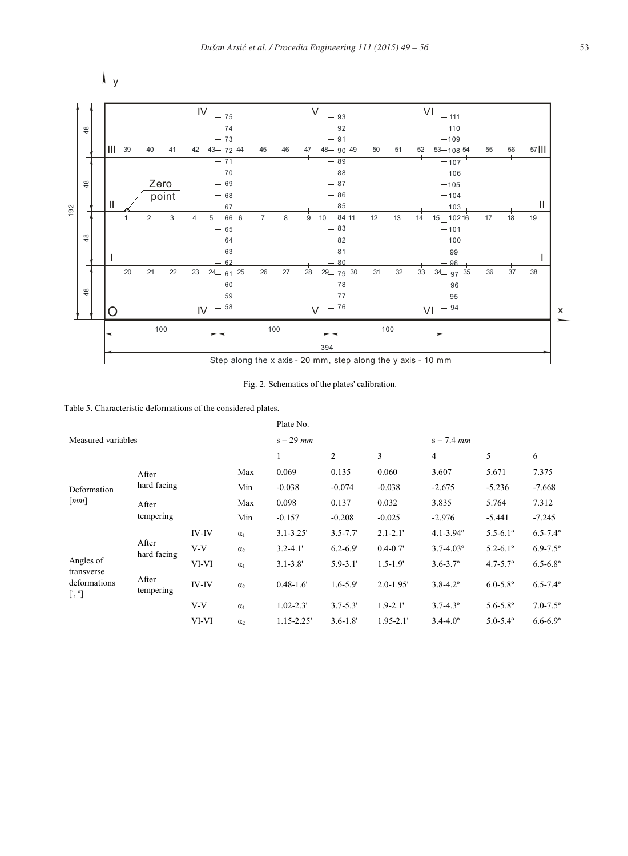



| Table 5. Characteristic deformations of the considered plates. |  |
|----------------------------------------------------------------|--|
|----------------------------------------------------------------|--|

|                                              |                                            |              |            | Plate No.      |              |               |                           |                          |                     |  |  |
|----------------------------------------------|--------------------------------------------|--------------|------------|----------------|--------------|---------------|---------------------------|--------------------------|---------------------|--|--|
| Measured variables                           |                                            | $s = 29$ mm  |            |                | $s = 7.4$ mm |               |                           |                          |                     |  |  |
|                                              |                                            |              |            | $\mathbf{1}$   | 2            | 3             | $\overline{4}$            | 5                        | 6                   |  |  |
|                                              | After                                      |              | Max        | 0.069          | 0.135        | 0.060         | 3.607                     | 5.671                    | 7.375               |  |  |
| Deformation                                  | hard facing                                |              | Min        | $-0.038$       | $-0.074$     | $-0.038$      | $-2.675$                  | $-5.236$                 | $-7.668$            |  |  |
| $\lceil mm \rceil$                           | After                                      |              | Max        | 0.098          | 0.137        | 0.032         | 3.835                     | 5.764                    | 7.312               |  |  |
|                                              | tempering                                  |              | Min        | $-0.157$       | $-0.208$     | $-0.025$      | $-2.976$                  | $-5.441$                 | $-7.245$            |  |  |
|                                              | After<br>hard facing<br>After<br>tempering | <b>IV-IV</b> | $\alpha_1$ | $3.1 - 3.25'$  | $3.5 - 7.7'$ | $2.1 - 2.1'$  | $4.1 - 3.94$ <sup>o</sup> | $5.5 - 6.1$ °            | $6.5 - 7.4^{\circ}$ |  |  |
|                                              |                                            | $V-V$        | $\alpha$   | $3.2 - 4.1'$   | $6.2 - 6.9'$ | $0.4 - 0.7'$  | $3.7 - 4.03^{\circ}$      | $5.2 - 6.1$ °            | $6.9 - 7.5^{\circ}$ |  |  |
| Angles of                                    |                                            | VI-VI        | $\alpha_1$ | $3.1 - 3.8'$   | $5.9 - 3.1'$ | $1.5 - 1.9'$  | $3.6 - 3.7$ °             | $4.7 - 5.7$ °            | $6.5 - 6.8$ °       |  |  |
| transverse<br>deformations<br>$[', \degree]$ |                                            | <b>IV-IV</b> | $\alpha_2$ | $0.48 - 1.6$   | $1.6 - 5.9'$ | $2.0 - 1.95$  | $3.8 - 4.2$ <sup>o</sup>  | $6.0 - 5.8$ °            | $6.5 - 7.4^{\circ}$ |  |  |
|                                              |                                            | V-V          | $\alpha_1$ | $1.02 - 2.3'$  | $3.7 - 5.3'$ | $1.9 - 2.1'$  | $3.7 - 4.3^{\circ}$       | $5.6 - 5.8$ °            | $7.0 - 7.5$ °       |  |  |
|                                              |                                            | VI-VI        | $\alpha_2$ | $1.15 - 2.25'$ | $3.6 - 1.8'$ | $1.95 - 2.1'$ | $3.4 - 4.0^{\circ}$       | $5.0 - 5.4$ <sup>o</sup> | $6.6 - 6.9$ °       |  |  |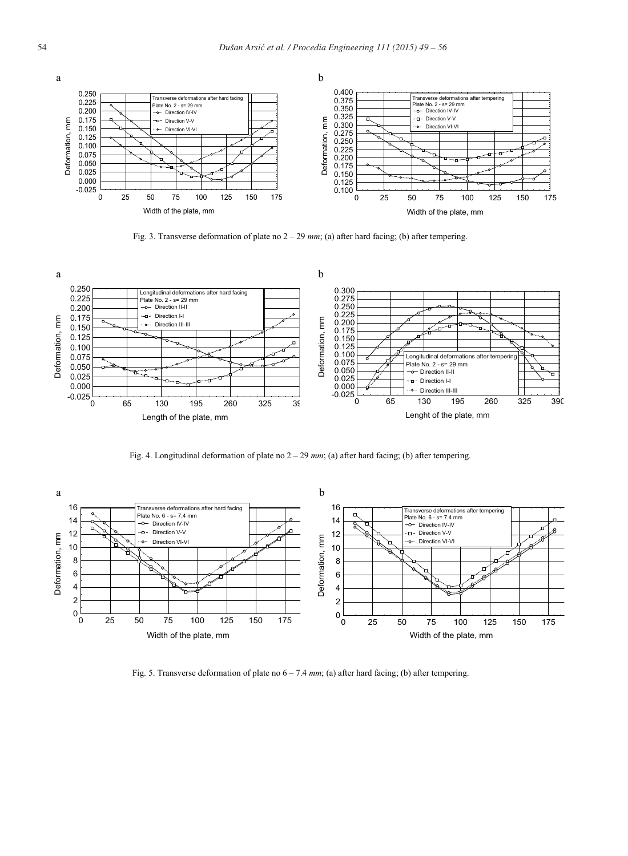

Fig. 3. Transverse deformation of plate no 2 – 29 *mm*; (a) after hard facing; (b) after tempering.



Fig. 4. Longitudinal deformation of plate no 2 – 29 *mm*; (a) after hard facing; (b) after tempering.



Fig. 5. Transverse deformation of plate no 6 – 7.4 *mm*; (a) after hard facing; (b) after tempering.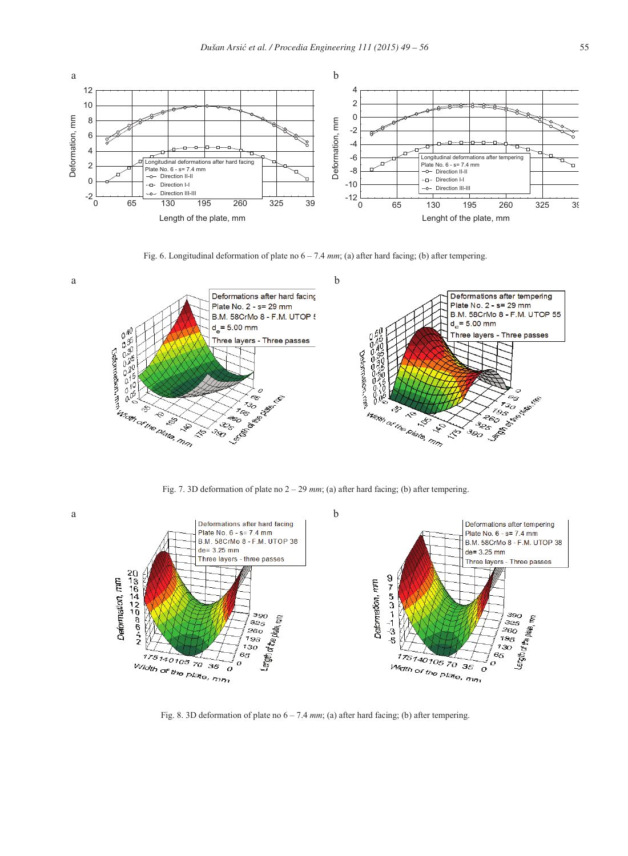

Fig. 6. Longitudinal deformation of plate no  $6 - 7.4$  *mm*; (a) after hard facing; (b) after tempering.





Fig. 8. 3D deformation of plate no  $6 - 7.4$  mm; (a) after hard facing; (b) after tempering.